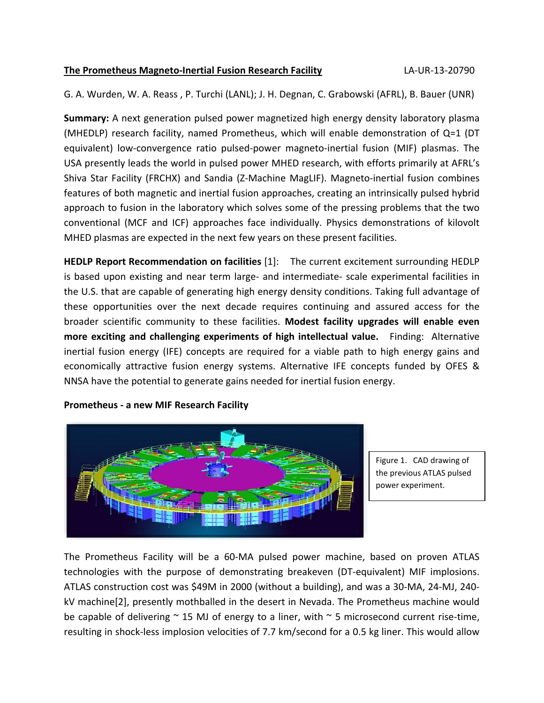## **The Prometheus Magneto‐Inertial Fusion Research Facility** LA‐UR‐13‐20790

G. A. Wurden, W. A. Reass , P. Turchi (LANL); J. H. Degnan, C. Grabowski (AFRL), B. Bauer (UNR)

**Summary:** A next generation pulsed power magnetized high energy density laboratory plasma (MHEDLP) research facility, named Prometheus, which will enable demonstration of Q=1 (DT equivalent) low-convergence ratio pulsed-power magneto-inertial fusion (MIF) plasmas. The USA presently leads the world in pulsed power MHED research, with efforts primarily at AFRL's Shiva Star Facility (FRCHX) and Sandia (Z‐Machine MagLIF). Magneto‐inertial fusion combines features of both magnetic and inertial fusion approaches, creating an intrinsically pulsed hybrid approach to fusion in the laboratory which solves some of the pressing problems that the two conventional (MCF and ICF) approaches face individually. Physics demonstrations of kilovolt MHED plasmas are expected in the next few years on these present facilities.

**HEDLP Report Recommendation on facilities** [1]: The current excitement surrounding HEDLP is based upon existing and near term large‐ and intermediate‐ scale experimental facilities in the U.S. that are capable of generating high energy density conditions. Taking full advantage of these opportunities over the next decade requires continuing and assured access for the broader scientific community to these facilities. **Modest facility upgrades will enable even more exciting and challenging experiments of high intellectual value.**  Finding: Alternative inertial fusion energy (IFE) concepts are required for a viable path to high energy gains and economically attractive fusion energy systems. Alternative IFE concepts funded by OFES & NNSA have the potential to generate gains needed for inertial fusion energy.



**Prometheus ‐ a new MIF Research Facility**

Figure 1. CAD drawing of the previous ATLAS pulsed power experiment.

The Prometheus Facility will be a 60‐MA pulsed power machine, based on proven ATLAS technologies with the purpose of demonstrating breakeven (DT‐equivalent) MIF implosions. ATLAS construction cost was \$49M in 2000 (without a building), and was a 30‐MA, 24‐MJ, 240‐ kV machine[2], presently mothballed in the desert in Nevada. The Prometheus machine would be capable of delivering  $\sim$  15 MJ of energy to a liner, with  $\sim$  5 microsecond current rise-time, resulting in shock‐less implosion velocities of 7.7 km/second for a 0.5 kg liner. This would allow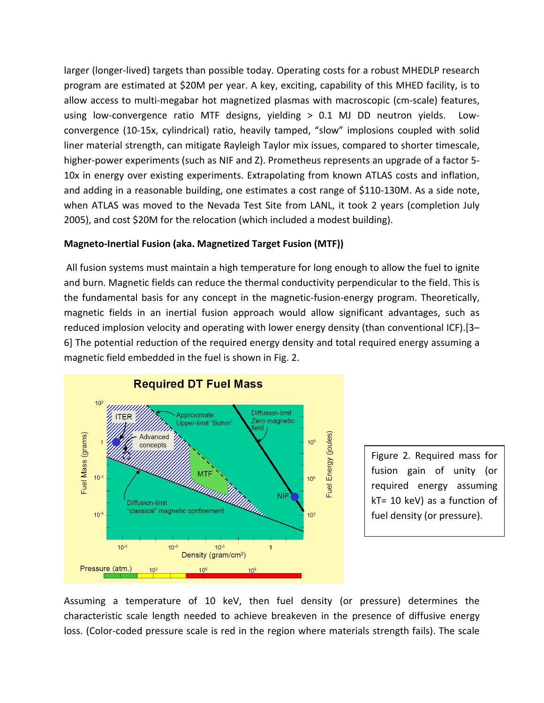larger (longer‐lived) targets than possible today. Operating costs for a robust MHEDLP research program are estimated at \$20M per year. A key, exciting, capability of this MHED facility, is to allow access to multi‐megabar hot magnetized plasmas with macroscopic (cm‐scale) features, using low-convergence ratio MTF designs, yielding > 0.1 MJ DD neutron yields. Lowconvergence (10‐15x, cylindrical) ratio, heavily tamped, "slow" implosions coupled with solid liner material strength, can mitigate Rayleigh Taylor mix issues, compared to shorter timescale, higher-power experiments (such as NIF and Z). Prometheus represents an upgrade of a factor 5-10x in energy over existing experiments. Extrapolating from known ATLAS costs and inflation, and adding in a reasonable building, one estimates a cost range of \$110-130M. As a side note, when ATLAS was moved to the Nevada Test Site from LANL, it took 2 years (completion July 2005), and cost \$20M for the relocation (which included a modest building).

# **Magneto‐Inertial Fusion (aka. Magnetized Target Fusion (MTF))**

All fusion systems must maintain a high temperature for long enough to allow the fuel to ignite and burn. Magnetic fields can reduce the thermal conductivity perpendicular to the field. This is the fundamental basis for any concept in the magnetic‐fusion‐energy program. Theoretically, magnetic fields in an inertial fusion approach would allow significant advantages, such as reduced implosion velocity and operating with lower energy density (than conventional ICF).[3– 6] The potential reduction of the required energy density and total required energy assuming a magnetic field embedded in the fuel is shown in Fig. 2.



Figure 2. Required mass for fusion gain of unity (or required energy assuming kT= 10 keV) as a function of fuel density (or pressure).

Assuming a temperature of 10 keV, then fuel density (or pressure) determines the characteristic scale length needed to achieve breakeven in the presence of diffusive energy loss. (Color‐coded pressure scale is red in the region where materials strength fails). The scale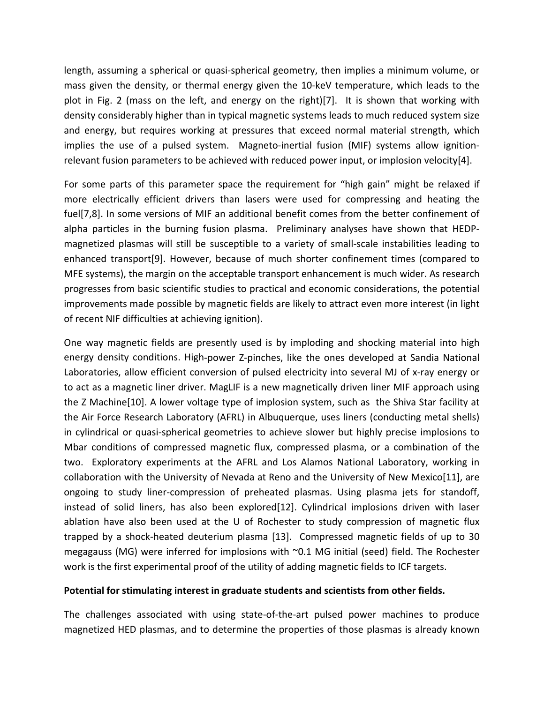length, assuming a spherical or quasi‐spherical geometry, then implies a minimum volume, or mass given the density, or thermal energy given the 10‐keV temperature, which leads to the plot in Fig. 2 (mass on the left, and energy on the right)[7]. It is shown that working with density considerably higher than in typical magnetic systems leads to much reduced system size and energy, but requires working at pressures that exceed normal material strength, which implies the use of a pulsed system. Magneto-inertial fusion (MIF) systems allow ignitionrelevant fusion parameters to be achieved with reduced power input, or implosion velocity[4].

For some parts of this parameter space the requirement for "high gain" might be relaxed if more electrically efficient drivers than lasers were used for compressing and heating the fuel[7,8]. In some versions of MIF an additional benefit comes from the better confinement of alpha particles in the burning fusion plasma. Preliminary analyses have shown that HEDPmagnetized plasmas will still be susceptible to a variety of small‐scale instabilities leading to enhanced transport[9]. However, because of much shorter confinement times (compared to MFE systems), the margin on the acceptable transport enhancement is much wider. As research progresses from basic scientific studies to practical and economic considerations, the potential improvements made possible by magnetic fields are likely to attract even more interest (in light of recent NIF difficulties at achieving ignition).

One way magnetic fields are presently used is by imploding and shocking material into high energy density conditions. High-power Z-pinches, like the ones developed at Sandia National Laboratories, allow efficient conversion of pulsed electricity into several MJ of x-ray energy or to act as a magnetic liner driver. MagLIF is a new magnetically driven liner MIF approach using the Z Machine[10]. A lower voltage type of implosion system, such as the Shiva Star facility at the Air Force Research Laboratory (AFRL) in Albuquerque, uses liners (conducting metal shells) in cylindrical or quasi‐spherical geometries to achieve slower but highly precise implosions to Mbar conditions of compressed magnetic flux, compressed plasma, or a combination of the two. Exploratory experiments at the AFRL and Los Alamos National Laboratory, working in collaboration with the University of Nevada at Reno and the University of New Mexico[11], are ongoing to study liner‐compression of preheated plasmas. Using plasma jets for standoff, instead of solid liners, has also been explored[12]. Cylindrical implosions driven with laser ablation have also been used at the U of Rochester to study compression of magnetic flux trapped by a shock‐heated deuterium plasma [13]. Compressed magnetic fields of up to 30 megagauss (MG) were inferred for implosions with ~0.1 MG initial (seed) field. The Rochester work is the first experimental proof of the utility of adding magnetic fields to ICF targets.

## **Potential for stimulating interest in graduate students and scientists from other fields.**

The challenges associated with using state-of-the-art pulsed power machines to produce magnetized HED plasmas, and to determine the properties of those plasmas is already known